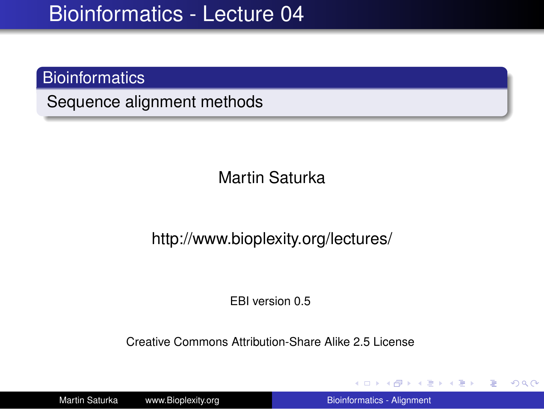#### **Bioinformatics**

Sequence alignment methods

Martin Saturka

#### http://www.bioplexity.org/lectures/

EBI version 0.5

Creative Commons Attribution-Share Alike 2.5 License

Martin Saturka www.Bioplexity.org [Bioinformatics - Alignment](#page-31-0)

イロト イ押 トイヨ トイヨ トー

<span id="page-0-0"></span>÷.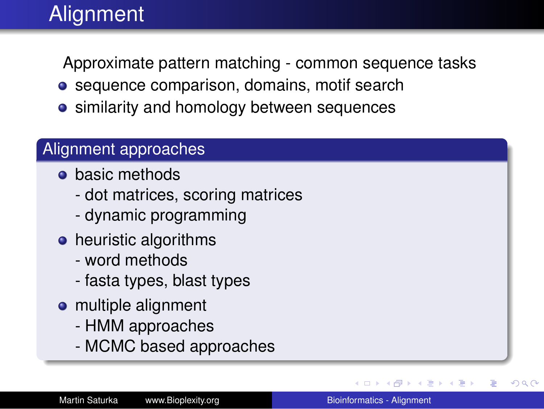# **Alignment**

Approximate pattern matching - common sequence tasks

- sequence comparison, domains, motif search
- **•** similarity and homology between sequences

#### Alignment approaches

- **o** basic methods
	- dot matrices, scoring matrices
	- dynamic programming
- heuristic algorithms
	- word methods
	- fasta types, blast types
- multiple alignment
	- HMM approaches
	- MCMC based approaches

→ 重→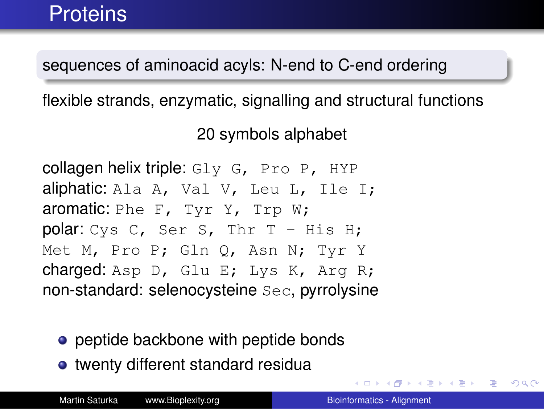sequences of aminoacid acyls: N-end to C-end ordering

flexible strands, enzymatic, signalling and structural functions

20 symbols alphabet

collagen helix triple:  $Gly$  G, Pro P, HYP aliphatic: Ala A, Val V, Leu L, Ile I; aromatic: Phe F, Tyr Y, Trp W; polar: Cys C, Ser S, Thr T - His H; Met M, Pro P; Gln Q, Asn N; Tyr Y charged: Asp D, Glu E; Lys K, Arg R; non-standard: selenocysteine Sec, pyrrolysine

- peptide backbone with peptide bonds
- twenty different standard residua

(御き (唐) (唐) 三重

 $2990$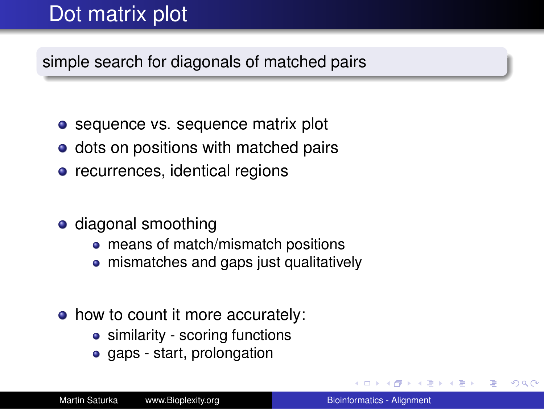# Dot matrix plot

simple search for diagonals of matched pairs

- sequence vs. sequence matrix plot
- dots on positions with matched pairs
- recurrences, identical regions
- diagonal smoothing
	- means of match/mismatch positions
	- mismatches and gaps just qualitatively
- how to count it more accurately:
	- similarity scoring functions
	- gaps start, prolongation

G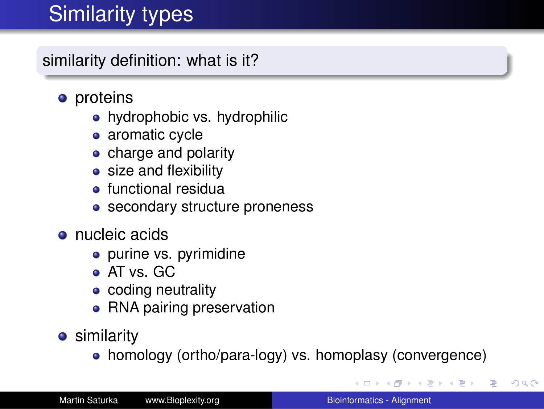# **Similarity types**

similarity definition: what is it?

- proteins
	- hydrophobic vs. hydrophilic
	- aromatic cycle
	- charge and polarity
	- size and flexibility
	- **•** functional residual
	- secondary structure proneness
- nucleic acids
	- purine vs. pyrimidine
	- AT vs. GC
	- coding neutrality
	- RNA pairing preservation
- **•** similarity
	- homology (ortho/para-logy) vs. homoplasy (convergence)

おす 重まし

B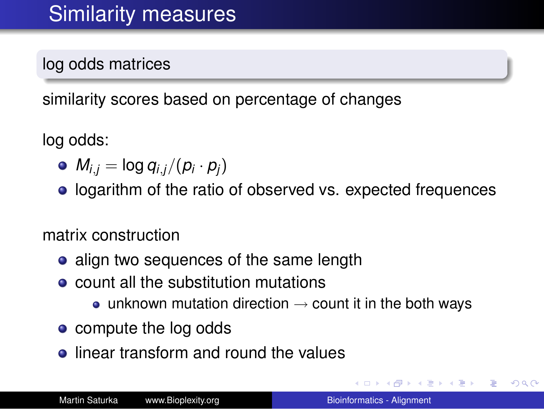log odds matrices

similarity scores based on percentage of changes

log odds:

- $M_{i,j} = \log q_{i,j}/(p_i \cdot p_j)$
- **.** logarithm of the ratio of observed vs. expected frequences

matrix construction

- align two sequences of the same length
- count all the substitution mutations
	- unknown mutation direction  $\rightarrow$  count it in the both ways
- compute the log odds
- **.** linear transform and round the values

 $\left\{ \bigoplus_{i=1}^{n} \mathbb{P} \left( \mathcal{A} \right) \subseteq \mathbb{P} \left( \mathcal{A} \right) \subseteq \mathbb{P} \right\}$ 

B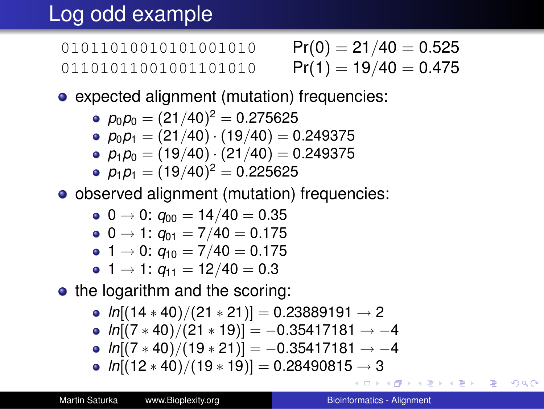# Log odd example

01011010010101001010 01101011001001101010

$$
Pr(0) = 21/40 = 0.525
$$
  

$$
Pr(1) = 19/40 = 0.475
$$

expected alignment (mutation) frequencies:

$$
\bullet \ \rho_0 \rho_0 = (21/40)^2 = 0.275625
$$

• 
$$
p_0 p_1 = (21/40) \cdot (19/40) = 0.249375
$$

 $p_1p_0 = (19/40) \cdot (21/40) = 0.249375$ 

$$
\bullet \ \ p_1 p_1 = (19/40)^2 = 0.225625
$$

observed alignment (mutation) frequencies:

$$
\bullet \hspace{.1cm} 0 \rightarrow 0 \colon q_{00} = 14/40 = 0.35
$$

$$
\bullet \hspace{0.1cm} 0 \rightarrow 1 \colon q_{01} = 7/40 = 0.175
$$

• 1 
$$
\rightarrow
$$
 0:  $q_{10} = 7/40 = 0.175$ 

$$
1 \rightarrow 1: q_{11} = 12/40 = 0.3
$$

• the logarithm and the scoring:

• 
$$
\ln[(14 \times 40)/(21 \times 21)] = 0.23889191 \rightarrow 2
$$

• 
$$
ln[(7 * 40)/(21 * 19)] = -0.35417181 \rightarrow -4
$$

• 
$$
ln[(7 * 40)/(19 * 21)] = -0.35417181 \rightarrow -4
$$

*ln*[(12 ∗ 40)/(19 ∗ 19)] = 0.28490815 → 3

<span id="page-6-0"></span>ミトメミト ミニのなべ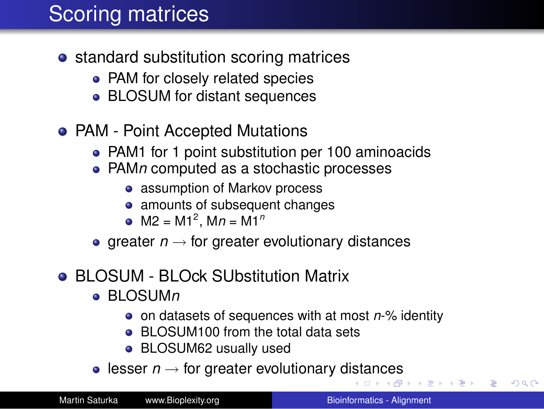# Scoring matrices

- standard substitution scoring matrices
	- PAM for closely related species
	- BLOSUM for distant sequences
- PAM Point Accepted Mutations
	- PAM1 for 1 point substitution per 100 aminoacids
	- PAM*n* computed as a stochastic processes
		- assumption of Markov process
		- amounts of subsequent changes
		- M2 = M1<sup>2</sup> , M*n* = M1*<sup>n</sup>*
	- greater  $n \rightarrow$  for greater evolutionary distances

#### BLOSUM - BLOck SUbstitution Matrix

- BLOSUM*n*
	- on datasets of sequences with at most *n*-% identity
	- BLOSUM100 from the total data sets
	- BLOSUM62 usually used
- l[es](#page-7-0)ser  $n \rightarrow$  for greater evolutionary d[ist](#page-6-0)[an](#page-8-0)[c](#page-6-0)es

(日本→ (日本)

<span id="page-7-0"></span>÷.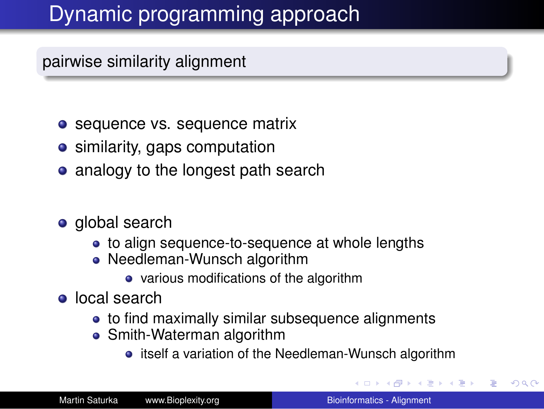# Dynamic programming approach

pairwise similarity alignment

- sequence vs. sequence matrix
- similarity, gaps computation
- analogy to the longest path search
- global search
	- to align sequence-to-sequence at whole lengths
	- Needleman-Wunsch algorithm
		- various modifications of the algorithm
- **o** local search
	- to find maximally similar subsequence alignments
	- Smith-Waterman algorithm
		- itself a variation of the Needleman-Wunsch algorithm

<span id="page-8-0"></span>医电子 化重子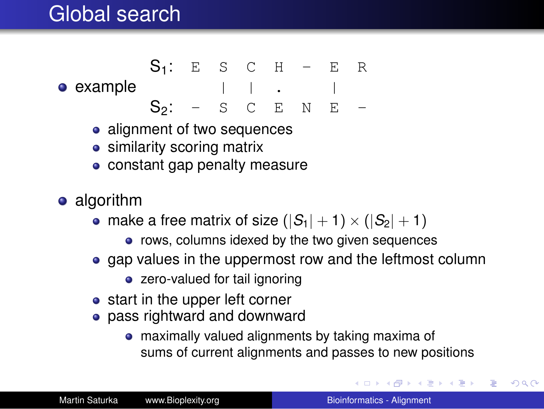### Global search

- example  $| \cdot |$  .  $|$  $S_1$ : E S C H - E R  $S_2$ : - S C E N E -
	- alignment of two sequences
	- similarity scoring matrix
	- constant gap penalty measure
- algorithm
	- make a free matrix of size  $(|S_1|+1) \times (|S_2|+1)$ 
		- rows, columns idexed by the two given sequences
	- gap values in the uppermost row and the leftmost column
		- zero-valued for tail ignoring
	- start in the upper left corner
	- pass rightward and downward
		- maximally valued alignments by taking maxima of sums of current alignments and passes to new positions

イロト イ伊 トイヨ トイヨ トー

 $\Rightarrow$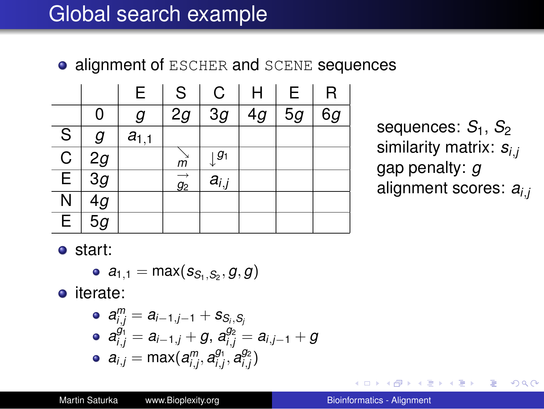### Global search example

**• alignment of ESCHER and SCENE sequences** 

|                         |                 | E         | S                      | C         | Н  | E  | R  |
|-------------------------|-----------------|-----------|------------------------|-----------|----|----|----|
|                         | 0               | g         | 2g                     | 3g        | 4g | 5g | 6g |
| S                       | g               | $a_{1,1}$ |                        |           |    |    |    |
| $\mathsf C$             | 2g              |           | m                      | $ g_1$    |    |    |    |
| $\overline{\mathsf{E}}$ | $\overline{3g}$ |           | $\overrightarrow{g_2}$ | $a_{i,j}$ |    |    |    |
| $\overline{\mathsf{N}}$ | $\overline{4g}$ |           |                        |           |    |    |    |
| $\overline{\mathsf{E}}$ | $\overline{5g}$ |           |                        |           |    |    |    |

sequences:  $S_1$ ,  $S_2$ similarity matrix: *si*,*<sup>j</sup>* gap penalty: *g* alignment scores: *ai*,*<sup>j</sup>*

 $2990$ 

B

start:

$$
\bullet \ \ a_{1,1}=\max(s_{S_1,S_2},g,g)
$$

o iterate:

\n- $$
a_{i,j}^m = a_{i-1,j-1} + s_{S_i, S_j}
$$
\n- $a_{i,j}^{g_1} = a_{i-1,j} + g, a_{i,j}^{g_2} = a_{i,j-1} + g$
\n- $a_{i,j} = \max(a_{i,j}^m, a_{i,j}^{g_1}, a_{i,j}^{g_2})$
\n

 $\langle \oplus \rangle$  >  $\langle \oplus \rangle$  >  $\langle \oplus \rangle$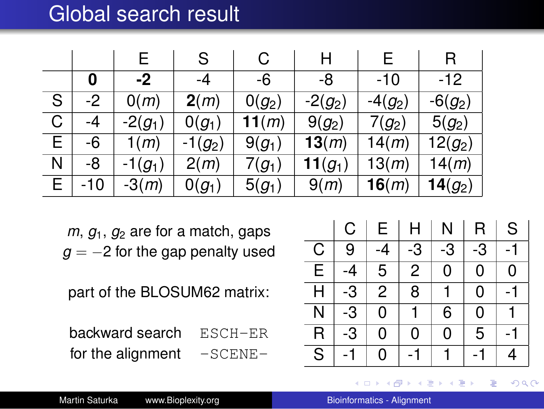### Global search result

|   |      | E.        | S         | C        | H          |           | R          |
|---|------|-----------|-----------|----------|------------|-----------|------------|
|   | O    | -2        | -4        | -6       | -8         | -10       | $-12$      |
| S | $-2$ | O(m)      | 2(m)      | $0(g_2)$ | $-2(g_2)$  | $-4(g_2)$ | $-6(g_2)$  |
| C | -4   | $-2(g_1)$ | $0(g_1)$  | 11(m)    | $9(g_2)$   | $7(g_2)$  | $5(g_2)$   |
| Ē | -6   | 1(m)      | $-1(g_2)$ | $9(g_1)$ | 13(m)      | 14(m)     | $12(g_2)$  |
| Ν | -8   | $-1(g_1)$ | 2(m)      | $7(g_1)$ | 11 $(g_1)$ | 13(m)     | 14(m)      |
| E | -10  | $-3(m)$   | $0(g_1)$  | $5(g_1)$ | 9(m)       | 16(m)     | 14 $(g_2)$ |

 $m, g<sub>1</sub>, g<sub>2</sub>$  are for a match, gaps  $g = -2$  for the gap penalty used

part of the BLOSUM62 matrix:

backward search ESCH-ER for the alignment  $-SCENE-$ 

|                         | С    | Е  | H  | N  | R  | S  |
|-------------------------|------|----|----|----|----|----|
| С                       | 9    | -4 | -3 | -3 | -3 | -1 |
| E                       | -4   | 5  | 2  | 0  | 0  | 0  |
| Н                       | -3   | 2  | 8  |    | 0  |    |
| N                       | -3   | 0  |    | 6  | 0  |    |
| R                       | $-3$ | 0  | 0  | 0  | 5  |    |
| $\overline{\mathsf{s}}$ |      | 0  |    |    |    | 4  |

4 何 8

→ 重 ★

す画→ ÷.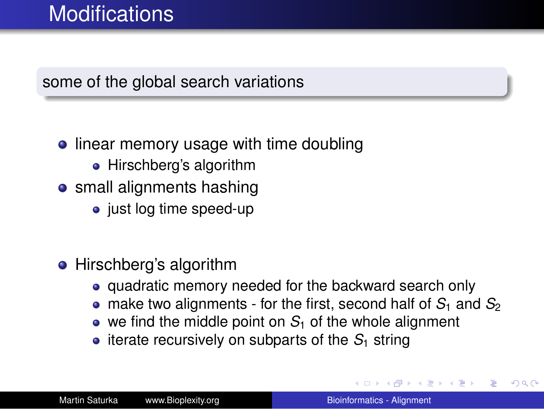### **Modifications**

#### some of the global search variations

- linear memory usage with time doubling
	- Hirschberg's algorithm
- **•** small alignments hashing
	- just log time speed-up
- Hirschberg's algorithm
	- quadratic memory needed for the backward search only
	- $\bullet$  make two alignments for the first, second half of  $S_1$  and  $S_2$
	- $\bullet$  we find the middle point on  $S_1$  of the whole alignment
	- $\bullet$  iterate recursively on subparts of the  $S_1$  string

 $\langle \oplus \rangle$  >  $\langle \oplus \rangle$  >  $\langle \oplus \rangle$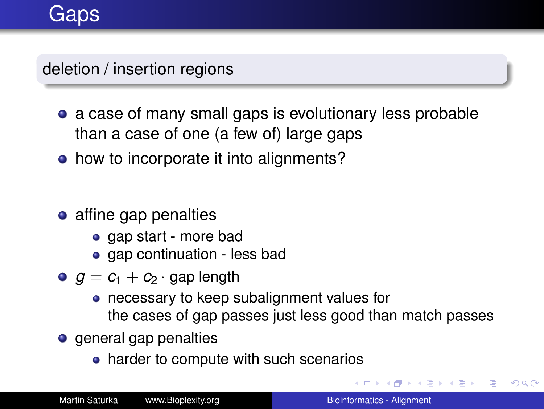### **Gaps**

deletion / insertion regions

- a case of many small gaps is evolutionary less probable than a case of one (a few of) large gaps
- how to incorporate it into alignments?
- affine gap penalties
	- gap start more bad
	- aap continuation less bad
- $g = c_1 + c_2 \cdot$  gap length
	- necessary to keep subalignment values for the cases of gap passes just less good than match passes
- **o** general gap penalties
	- harder to compute with such scenarios

K 何 ▶ K ヨ ▶ K ヨ ▶ ...

÷.  $QQ$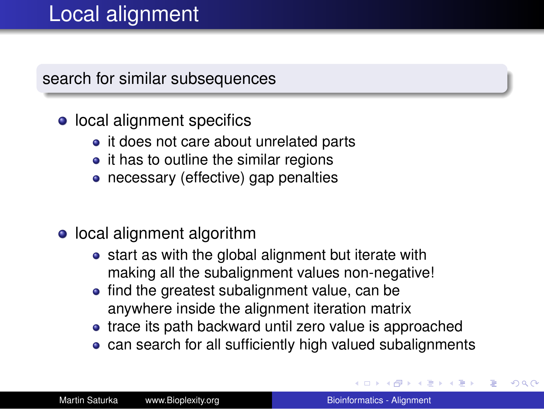## Local alignment

search for similar subsequences

- local alignment specifics
	- it does not care about unrelated parts
	- $\bullet$  it has to outline the similar regions
	- necessary (effective) gap penalties
- local alignment algorithm
	- start as with the global alignment but iterate with making all the subalignment values non-negative!
	- find the greatest subalignment value, can be anywhere inside the alignment iteration matrix
	- trace its path backward until zero value is approached
	- can search for all sufficiently high valued subalignments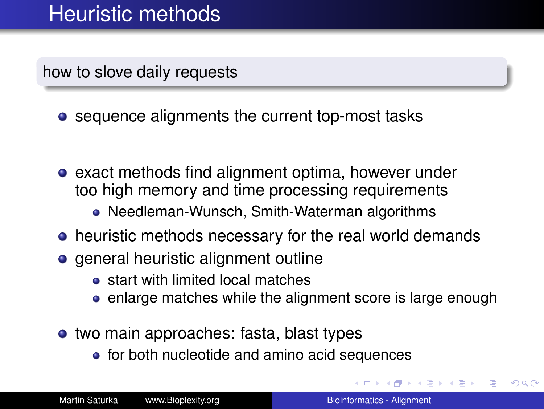how to slove daily requests

• sequence alignments the current top-most tasks

- **e** exact methods find alignment optima, however under too high memory and time processing requirements
	- Needleman-Wunsch, Smith-Waterman algorithms
- heuristic methods necessary for the real world demands
- general heuristic alignment outline
	- **•** start with limited local matches
	- enlarge matches while the alignment score is large enough
- two main approaches: fasta, blast types
	- for both nucleotide and amino acid sequences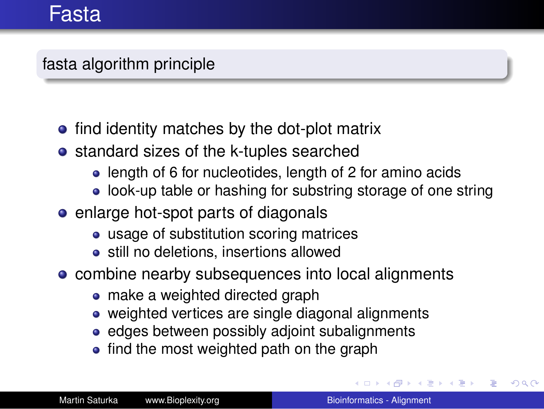#### fasta algorithm principle

- find identity matches by the dot-plot matrix
- **•** standard sizes of the k-tuples searched
	- length of 6 for nucleotides, length of 2 for amino acids
	- look-up table or hashing for substring storage of one string
- enlarge hot-spot parts of diagonals
	- usage of substitution scoring matrices
	- **•** still no deletions, insertions allowed
- combine nearby subsequences into local alignments
	- make a weighted directed graph
	- weighted vertices are single diagonal alignments
	- edges between possibly adjoint subalignments
	- find the most weighted path on the graph

4 <sub>伊</sub> ) 4

4 重っ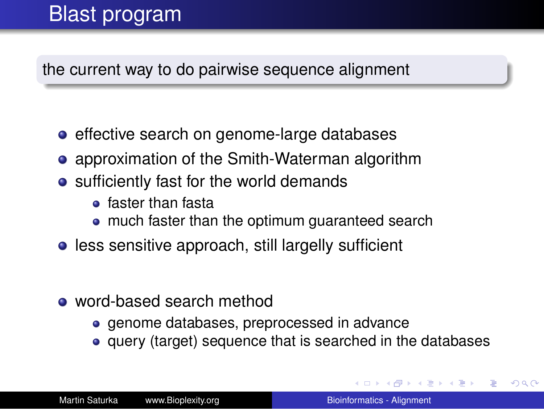## Blast program

the current way to do pairwise sequence alignment

- effective search on genome-large databases
- approximation of the Smith-Waterman algorithm
- sufficiently fast for the world demands
	- faster than fasta
	- much faster than the optimum guaranteed search
- **•** less sensitive approach, still largelly sufficient
- word-based search method
	- **e** genome databases, preprocessed in advance
	- query (target) sequence that is searched in the databases

 $\left\{ \begin{array}{ccc} 1 & 0 & 0 \\ 0 & 1 & 0 \end{array} \right.$ 

 $290$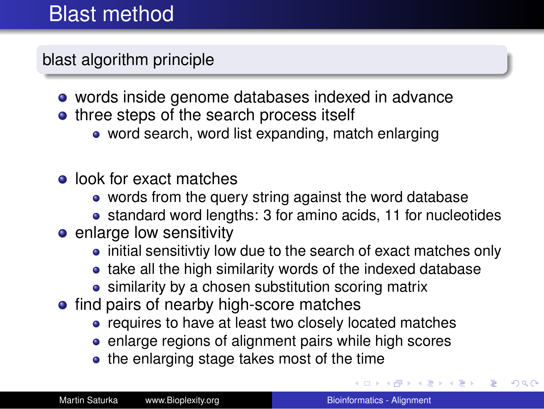## Blast method

blast algorithm principle

- words inside genome databases indexed in advance
- three steps of the search process itself
	- word search, word list expanding, match enlarging
- look for exact matches
	- words from the query string against the word database
	- standard word lengths: 3 for amino acids, 11 for nucleotides
- **e** enlarge low sensitivity
	- initial sensitivtiv low due to the search of exact matches only
	- take all the high similarity words of the indexed database
	- similarity by a chosen substitution scoring matrix
- find pairs of nearby high-score matches
	- requires to have at least two closely located matches
	- enlarge regions of alignment pairs while high scores
	- the enlarging stage takes most of the time

重き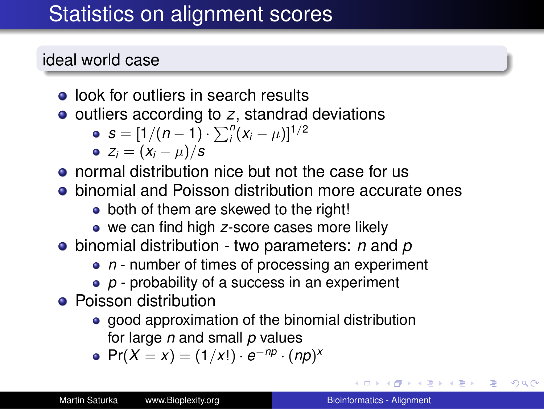# Statistics on alignment scores

#### ideal world case

- look for outliers in search results
- outliers according to *z*, standrad deviations

• 
$$
s = [1/(n-1) \cdot \sum_{i}^{n} (x_i - \mu)]^{1/2}
$$

$$
\bullet \ \ z_i = (x_i - \mu)/s
$$

- normal distribution nice but not the case for us
- **•** binomial and Poisson distribution more accurate ones
	- both of them are skewed to the right!
	- we can find high *z*-score cases more likely
- binomial distribution two parameters: *n* and *p*
	- *n* number of times of processing an experiment
	- *p* probability of a success in an experiment
- **•** Poisson distribution
	- good approximation of the binomial distribution for large *n* and small *p* values
	- $Pr(X = x) = (1/x!) \cdot e^{-np} \cdot (np)^{x}$

**ロトメ 伊 トメ** 

 $290$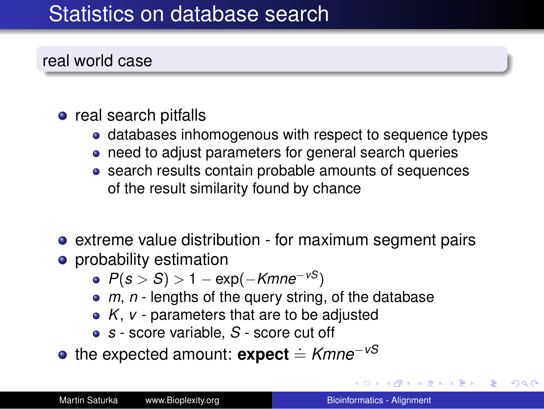## Statistics on database search

real world case

- real search pitfalls
	- databases inhomogenous with respect to sequence types
	- need to adjust parameters for general search queries
	- search results contain probable amounts of sequences of the result similarity found by chance
- extreme value distribution for maximum segment pairs
- **•** probability estimation
	- *P*(*s* > *S*) > 1 − exp(−*Kmne*<sup>−</sup>*vS*)
	- *m*, *n* lengths of the query string, of the database
	- *K*, *v* parameters that are to be adjusted
	- *s* score variable, *S* score cut off
- **•** the expected amount: **expect**  $\stackrel{.}{=}$  *Kmne<sup>−<i>vS*</sup></sub>

ロト 4 個 ト 4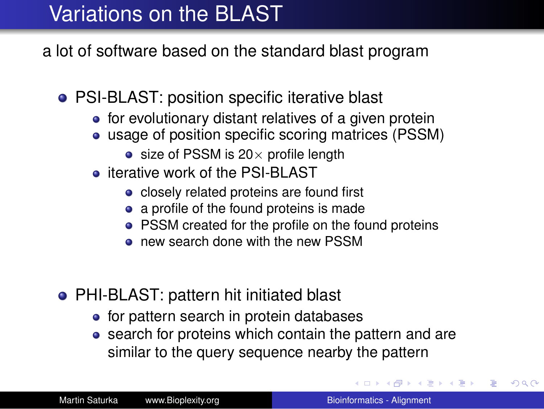# Variations on the BLAST

a lot of software based on the standard blast program

- PSI-BLAST: position specific iterative blast
	- $\bullet$  for evolutionary distant relatives of a given protein
	- usage of position specific scoring matrices (PSSM)
		- $\bullet$  size of PSSM is 20 $\times$  profile length
	- **iterative work of the PSI-BLAST** 
		- closely related proteins are found first
		- a profile of the found proteins is made
		- PSSM created for the profile on the found proteins
		- **o** new search done with the new PSSM
- PHI-BLAST: pattern hit initiated blast
	- for pattern search in protein databases
	- search for proteins which contain the pattern and are similar to the query sequence nearby the pattern

イロメ イ押 メイヨメ イヨメ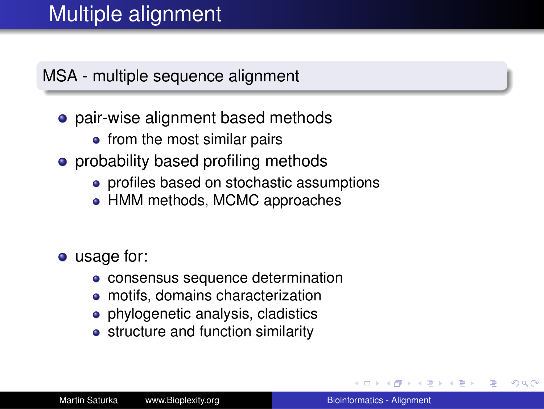MSA - multiple sequence alignment

- pair-wise alignment based methods
	- from the most similar pairs
- probability based profiling methods
	- profiles based on stochastic assumptions
	- HMM methods, MCMC approaches

• usage for:

- consensus sequence determination
- motifs, domains characterization
- phylogenetic analysis, cladistics
- structure and function similarity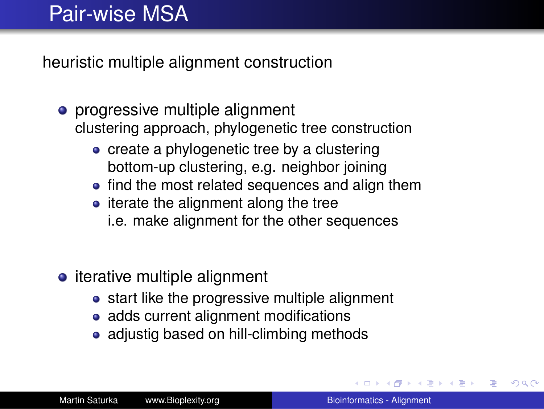# Pair-wise MSA

heuristic multiple alignment construction

- progressive multiple alignment clustering approach, phylogenetic tree construction
	- create a phylogenetic tree by a clustering bottom-up clustering, e.g. neighbor joining
	- find the most related sequences and align them
	- $\bullet$  iterate the alignment along the tree i.e. make alignment for the other sequences
- iterative multiple alignment
	- start like the progressive multiple alignment
	- adds current alignment modifications
	- adjustig based on hill-climbing methods

 $\langle \oplus \rangle$  >  $\langle \oplus \rangle$  >  $\langle \oplus \rangle$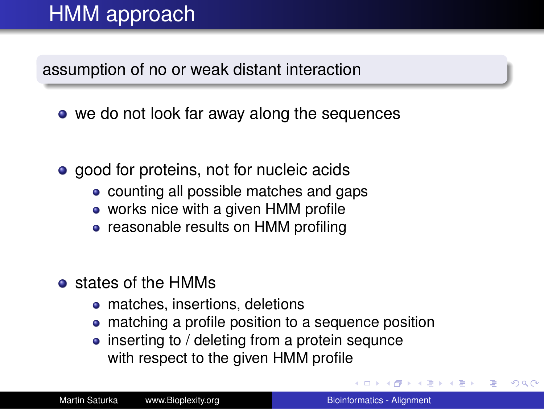# HMM approach

assumption of no or weak distant interaction

- we do not look far away along the sequences
- good for proteins, not for nucleic acids
	- counting all possible matches and gaps
	- works nice with a given HMM profile
	- reasonable results on HMM profiling
- $\bullet$  states of the HMMs
	- matches, insertions, deletions
	- matching a profile position to a sequence position
	- inserting to / deleting from a protein sequnce with respect to the given HMM profile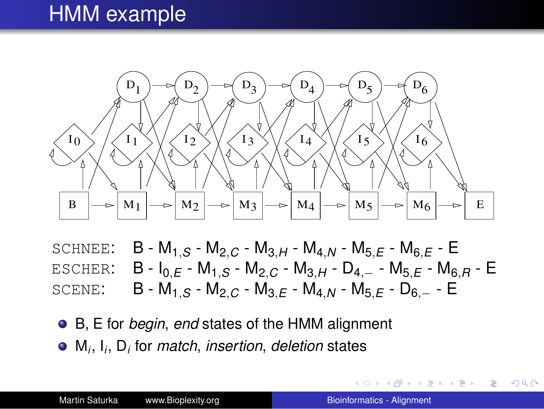### HMM example



SCHNEE: B - M1,*<sup>S</sup>* - M2,*<sup>C</sup>* - M3,*<sup>H</sup>* - M4,*<sup>N</sup>* - M5,*<sup>E</sup>* - M6,*<sup>E</sup>* - E ESCHER: B - I0,*<sup>E</sup>* - M1,*<sup>S</sup>* - M2,*<sup>C</sup>* - M3,*<sup>H</sup>* - D4,<sup>−</sup> - M5,*<sup>E</sup>* - M6,*<sup>R</sup>* - E SCENE: B - M1,*<sup>S</sup>* - M2,*<sup>C</sup>* - M3,*<sup>E</sup>* - M4,*<sup>N</sup>* - M5,*<sup>E</sup>* - D6,<sup>−</sup> - E

B, E for *begin*, *end* states of the HMM alignment

M*i* , I*i* , D*<sup>i</sup>* for *match*, *insertion*, *deletion* states

K ロ ▶ K 御 ▶ K 君 ▶ K 君 ▶ ○ 君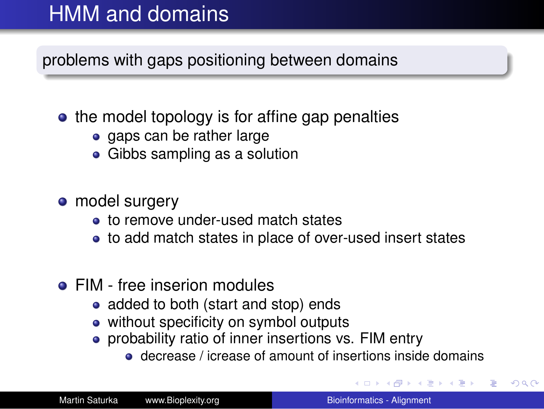# HMM and domains

problems with gaps positioning between domains

- $\bullet$  the model topology is for affine gap penalties
	- gaps can be rather large
	- Gibbs sampling as a solution
- model surgery
	- **.** to remove under-used match states
	- to add match states in place of over-used insert states
- **FIM** free inserion modules
	- added to both (start and stop) ends
	- without specificity on symbol outputs
	- probability ratio of inner insertions vs. FIM entry
		- decrease / icrease of amount of insertions inside domains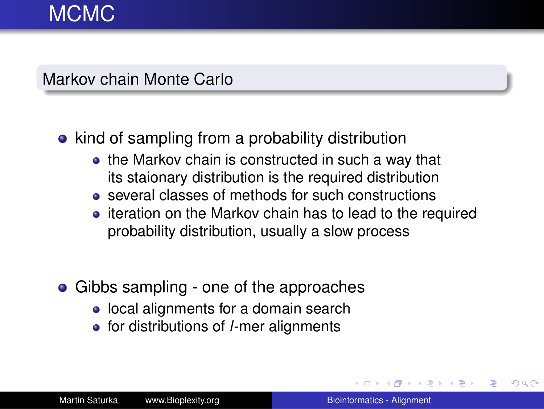#### Markov chain Monte Carlo

#### • kind of sampling from a probability distribution

- the Markov chain is constructed in such a way that its staionary distribution is the required distribution
- several classes of methods for such constructions
- iteration on the Markov chain has to lead to the required probability distribution, usually a slow process
- Gibbs sampling one of the approaches
	- local alignments for a domain search
	- **•** for distributions of *l*-mer alignments

 $\leftarrow$   $\leftarrow$   $\rightarrow$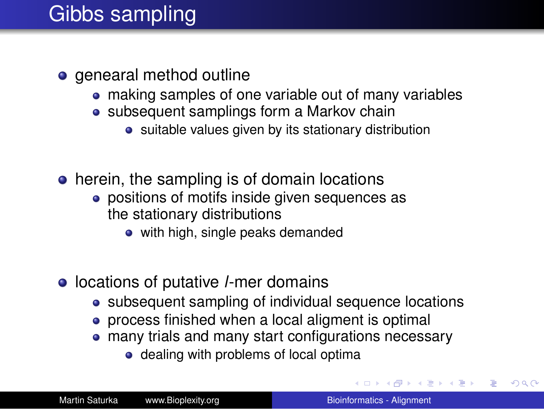# Gibbs sampling

- genearal method outline
	- making samples of one variable out of many variables
	- subsequent samplings form a Markov chain
		- suitable values given by its stationary distribution
- herein, the sampling is of domain locations
	- positions of motifs inside given sequences as the stationary distributions
		- with high, single peaks demanded
- **•** locations of putative *l*-mer domains
	- subsequent sampling of individual sequence locations
	- process finished when a local aligment is optimal
	- many trials and many start configurations necessary
		- dealing with problems of local optima

 $\Box \rightarrow \neg \left( \neg \overline{\partial} \right) \rightarrow \neg \left( \exists \rightarrow \neg \left( \exists \rightarrow \right) \right)$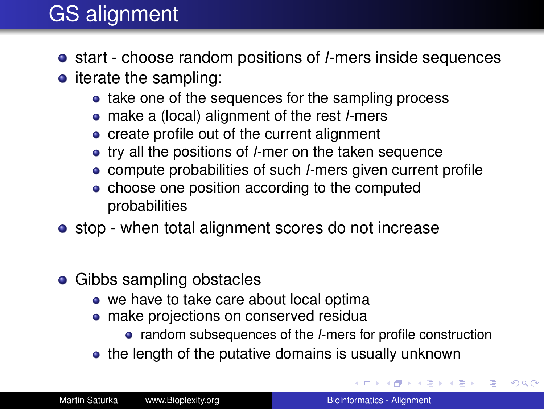# GS alignment

- start choose random positions of *l*-mers inside sequences
- $\bullet$  iterate the sampling:
	- take one of the sequences for the sampling process
	- make a (local) alignment of the rest *l*-mers
	- create profile out of the current alignment
	- try all the positions of *l*-mer on the taken sequence
	- compute probabilities of such *l*-mers given current profile
	- choose one position according to the computed probabilities
- stop when total alignment scores do not increase
- Gibbs sampling obstacles
	- we have to take care about local optima
	- make projections on conserved residua
		- random subsequences of the *l*-mers for profile construction
	- the length of the putative domains is usually unknown

イロト イ団 トイヨ トイヨ トー

B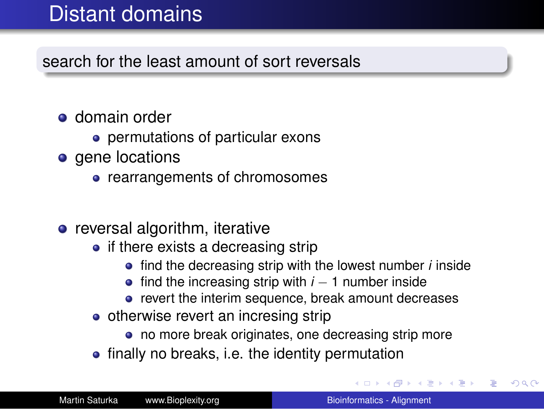# Distant domains

search for the least amount of sort reversals

- **o** domain order
	- permutations of particular exons
- gene locations
	- rearrangements of chromosomes
- $\bullet$  reversal algorithm, iterative
	- $\bullet$  if there exists a decreasing strip
		- **•** find the decreasing strip with the lowest number *i* inside
		- **•** find the increasing strip with *i* − 1 number inside
		- revert the interim sequence, break amount decreases
	- otherwise revert an incresing strip
		- no more break originates, one decreasing strip more
	- finally no breaks, i.e. the identity permutation